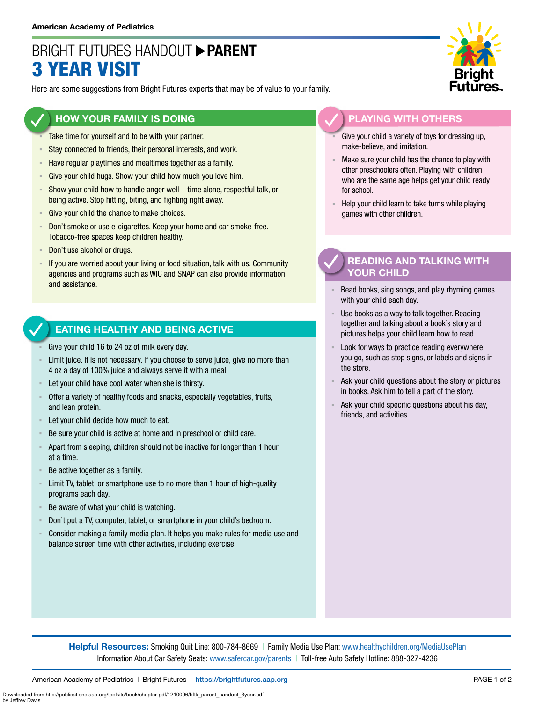## BRIGHT FUTURES HANDOUT **PARENT** 3 YEAR VISIT

Here are some suggestions from Bright Futures experts that may be of value to your family.

### **HOW YOUR FAMILY IS DOING**

- Take time for yourself and to be with your partner.
- **EXECT** Stay connected to friends, their personal interests, and work.
- **EXECTE Have regular playtimes and mealtimes together as a family.**
- **EXECT:** Give your child hugs. Show your child how much you love him.
- Show your child how to handle anger well-time alone, respectful talk, or being active. Stop hitting, biting, and fighting right away.
- Give your child the chance to make choices.
- **EXECT** Don't smoke or use e-cigarettes. Keep your home and car smoke-free. Tobacco-free spaces keep children healthy.
- Don't use alcohol or drugs.
- If you are worried about your living or food situation, talk with us. Community agencies and programs such as WIC and SNAP can also provide information and assistance.

#### **EATING HEALTHY AND BEING ACTIVE**

- Give your child 16 to 24 oz of milk every day.
- Limit juice. It is not necessary. If you choose to serve juice, give no more than 4 oz a day of 100% juice and always serve it with a meal.
- Let your child have cool water when she is thirsty.
- Offer a variety of healthy foods and snacks, especially vegetables, fruits, and lean protein.
- Let your child decide how much to eat.
- Be sure your child is active at home and in preschool or child care.
- Apart from sleeping, children should not be inactive for longer than 1 hour at a time.
- Be active together as a family.
- **EXECT** Limit TV, tablet, or smartphone use to no more than 1 hour of high-quality programs each day.
- Be aware of what your child is watching.
- Don't put a TV, computer, tablet, or smartphone in your child's bedroom.
- Consider making a family media plan. It helps you make rules for media use and balance screen time with other activities, including exercise.



### **PLAYING WITH OTHERS**

- Give your child a variety of toys for dressing up, make-believe, and imitation.
- Make sure your child has the chance to play with other preschoolers often. Playing with children who are the same age helps get your child ready for school.
- Help your child learn to take turns while playing games with other children.

### **READING AND TALKING WITH YOUR CHILD**

- Read books, sing songs, and play rhyming games with your child each day.
- Use books as a way to talk together. Reading together and talking about a book's story and pictures helps your child learn how to read.
- Look for ways to practice reading everywhere you go, such as stop signs, or labels and signs in the store.
- Ask your child questions about the story or pictures in books. Ask him to tell a part of the story.
- Ask your child specific questions about his day, friends, and activities.

**Helpful Resources:** Smoking Quit Line: 800-784-8669 | Family Media Use Plan: [www.healthychildren.org/MediaUsePlan](https://www.healthychildren.org/English/media/Pages/default.aspx) Information About Car Safety Seats: [www.safercar.gov/parents](https://www.nhtsa.gov/parents-and-caregivers) | Toll-free Auto Safety Hotline: 888-327-4236